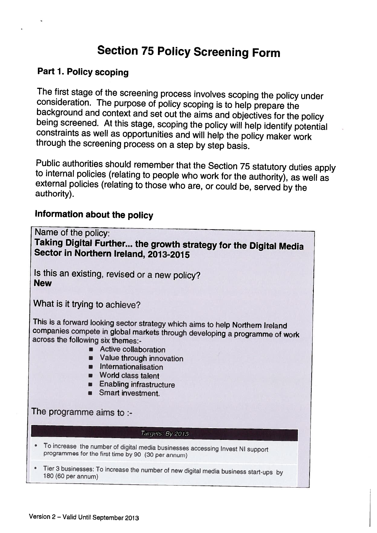# Section <sup>75</sup> Policy Screening Form

# Part 1. Policy scoping

The first stage of the screening process involves scoping the policy under consideration. The purpose of policy scoping is to help prepare the background and context and set out the aims and objectives for the policy being

Public authorities should remember that the Section 75 statutory duties apply<br>to internal policies (relating to people who work for the authority), as well as<br>external policies (relating to those who are, or could be, serv

# Information about the policy

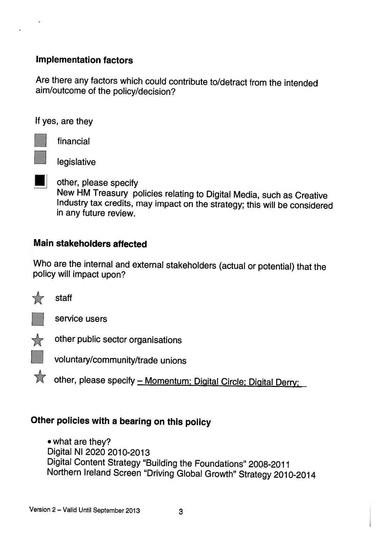# Implementation factors

Are there any factors which could contribute to/detract from the intended aim/outcome of the policy/decision?

If yes, are they



financial

legislative

other, please specify New HM Treasury policies relating to Digital Media, such as Creative Industry tax credits, may impact on the strategy; this will be considered in any future review.

# Main stakeholders affected

Who are the internal and external stakeholders (actual or potential) that the policy will impact upon?



staff



service users



other public sector organisations

voluntary/community/trade unions

\*other, please specify - Momentum; Digital Circle; Digital Derry;

# Other policies with <sup>a</sup> bearing on this policy

• what are they? Digital NI 2020 2010-2013 Digital Content Strategy "Building the Foundations" 2008-2011 Northern Ireland Screen "Driving Global Growth" Strategy 2010-2014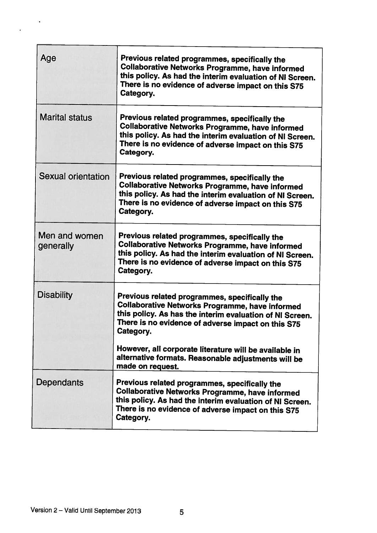| Age                        | Previous related programmes, specifically the<br><b>Collaborative Networks Programme, have informed</b><br>this policy. As had the interim evaluation of NI Screen.<br>There is no evidence of adverse impact on this S75<br>Category.                                                                                                                  |
|----------------------------|---------------------------------------------------------------------------------------------------------------------------------------------------------------------------------------------------------------------------------------------------------------------------------------------------------------------------------------------------------|
| <b>Marital status</b>      | Previous related programmes, specifically the<br><b>Collaborative Networks Programme, have informed</b><br>this policy. As had the interim evaluation of NI Screen.<br>There is no evidence of adverse impact on this S75<br>Category.                                                                                                                  |
| Sexual orientation         | Previous related programmes, specifically the<br><b>Collaborative Networks Programme, have informed</b><br>this policy. As had the interim evaluation of NI Screen.<br>There is no evidence of adverse impact on this S75<br>Category.                                                                                                                  |
| Men and women<br>generally | Previous related programmes, specifically the<br><b>Collaborative Networks Programme, have informed</b><br>this policy. As had the interim evaluation of NI Screen.<br>There is no evidence of adverse impact on this S75<br>Category.                                                                                                                  |
| <b>Disability</b>          | Previous related programmes, specifically the<br><b>Collaborative Networks Programme, have informed</b><br>this policy. As has the interim evaluation of NI Screen.<br>There is no evidence of adverse impact on this S75<br>Category.<br>However, all corporate literature will be available in<br>alternative formats. Reasonable adjustments will be |
| Dependants                 | made on request.<br>Previous related programmes, specifically the<br><b>Collaborative Networks Programme, have informed</b><br>this policy. As had the interim evaluation of NI Screen.<br>There is no evidence of adverse impact on this S75<br>Category.                                                                                              |

 $\bar{a}$ 

ğ,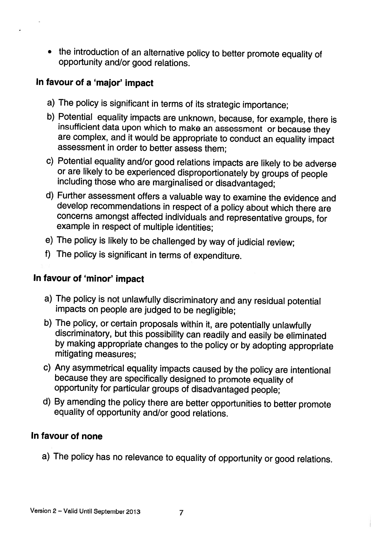• the introduction of an alternative policy to better promote equality of<br>opportunity and/or good relations.

# In favour of <sup>a</sup> 'major' impact

- a) The policy is significant in terms of its strategic importance;
- b) Potential equality impacts are unknown, because, for example, there is insufficient data upon which to make an assessment or because they are complex, and it would be appropriate to conduct an equality impact assessment in order to better assess them;
- c) Potential equality and/or good relations impacts are likely to be adverse including those who are marginalised or disadvantaged;
- d) Further assessment offers <sup>a</sup> valuable way to examine the evidence and develop recommendations in respect of <sup>a</sup> policy about which there are concerns amongst affected individuals and representative groups, for example in respect of multiple identities;
- e) The policy is likely to be challenged by way of judicial review;
- f) The policy is significant in terms of expenditure.

#### In favour of 'minor' impact

- a) The policy is not unlawfully discriminatory and any residual potential impacts on people are judged to be negligible;
- b) The policy, or certain proposals within it, are potentially unlawfully discriminatory, but this possibility can readily and easily be eliminated by making appropriate changes to the policy or by adopting appropriate mit
- c) Any asymmetrical equality impacts caused by the policy are intentional because they are specifically designed to promote equality of opportunity for particular groups of disadvantaged people;
- d) By amending the policy there are better opportunities to better promote equality of opportunity and/or good relations.

#### In favour of none

a) The policy has no relevance to equality of opportunity or good relations.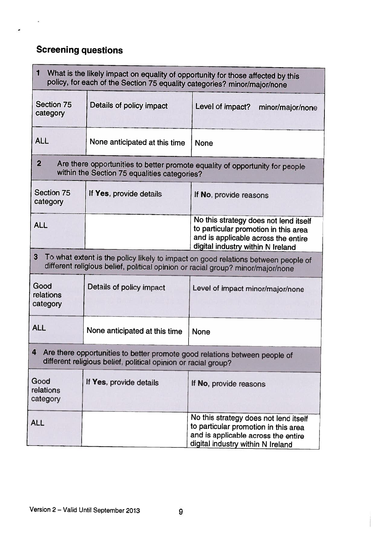# Screening questions

i.

 $\ddot{\phantom{0}}$ 

| 1<br>What is the likely impact on equality of opportunity for those affected by this<br>policy, for each of the Section 75 equality categories? minor/major/none          |                               |                                                                                                                                                           |  |  |  |
|---------------------------------------------------------------------------------------------------------------------------------------------------------------------------|-------------------------------|-----------------------------------------------------------------------------------------------------------------------------------------------------------|--|--|--|
| Section 75<br>category                                                                                                                                                    | Details of policy impact      | Level of impact?<br>minor/major/none                                                                                                                      |  |  |  |
| <b>ALL</b>                                                                                                                                                                | None anticipated at this time | <b>None</b>                                                                                                                                               |  |  |  |
| $\overline{2}$<br>Are there opportunities to better promote equality of opportunity for people<br>within the Section 75 equalities categories?                            |                               |                                                                                                                                                           |  |  |  |
| Section 75<br>category                                                                                                                                                    | If Yes, provide details       | If No, provide reasons                                                                                                                                    |  |  |  |
| <b>ALL</b>                                                                                                                                                                |                               | No this strategy does not lend itself<br>to particular promotion in this area<br>and is applicable across the entire<br>digital industry within N Ireland |  |  |  |
| 3<br>To what extent is the policy likely to impact on good relations between people of<br>different religious belief, political opinion or racial group? minor/major/none |                               |                                                                                                                                                           |  |  |  |
| Good<br>relations<br>category                                                                                                                                             | Details of policy impact      | Level of impact minor/major/none                                                                                                                          |  |  |  |
| <b>ALL</b>                                                                                                                                                                | None anticipated at this time | <b>None</b>                                                                                                                                               |  |  |  |
| Are there opportunities to better promote good relations between people of<br>different religious belief, political opinion or racial group?                              |                               |                                                                                                                                                           |  |  |  |
| Good<br>relations<br>category                                                                                                                                             | If Yes, provide details       | If No, provide reasons                                                                                                                                    |  |  |  |
| <b>ALL</b>                                                                                                                                                                |                               | No this strategy does not lend itself<br>to particular promotion in this area<br>and is applicable across the entire<br>digital industry within N Ireland |  |  |  |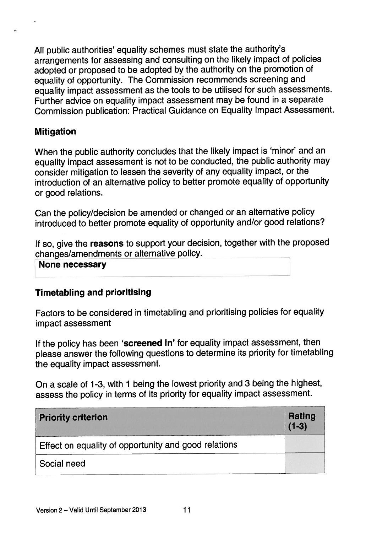All public authorities' equality schemes must state the authority's arrangements for assessing and consulting on the likely impact of policies adopted or propose<sup>d</sup> to be adopted by the authority on the promotion of equality of opportunity. The Commission recommends screening and equality impact assessment as the tools to be utilised for such assessments. Further advice on equality impact assessment may be found in <sup>a</sup> separate Commission publication: Practical Guidance on Equality Impact Assessment.

### Mitigation

When the public authority concludes that the likely impact is 'minor' and an equality impact assessment is not to be conducted, the public authority may consider mitigation to lessen the severity of any equality impact, or the introduction of an alternative policy to better promote equality of opportunity or good relations.

Can the policy/decision be amended or changed or an alternative policy introduced to better promote equality of opportunity and/or goo<sup>d</sup> relations?

If so, give the reasons to support your decision, together with the proposed changes/amendments or alternative policy.

None necessary

#### Timetabling and prioritising

Factors to be considered in timetabling and prioritising policies for equality impact assessment

If the policy has been 'screened in' for equality impact assessment, then <sup>p</sup>lease answer the following questions to determine its priority for timetabling the equality impact assessment.

On <sup>a</sup> scale of 1-3, with <sup>1</sup> being the lowest priority and <sup>3</sup> being the highest, assess the policy in terms of its priority for equality impact assessment.

| <b>Priority criterion</b>                                   | Rating<br>$(1-3)$ |
|-------------------------------------------------------------|-------------------|
| <b>Effect on equality of opportunity and good relations</b> |                   |
| Social need                                                 |                   |